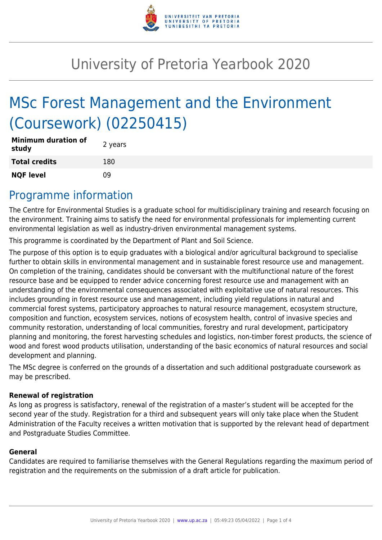

# University of Pretoria Yearbook 2020

# MSc Forest Management and the Environment (Coursework) (02250415)

| <b>Minimum duration of</b><br>study | 2 years |
|-------------------------------------|---------|
| <b>Total credits</b>                | 180     |
| <b>NQF level</b>                    | ΩÓ      |

### Programme information

The Centre for Environmental Studies is a graduate school for multidisciplinary training and research focusing on the environment. Training aims to satisfy the need for environmental professionals for implementing current environmental legislation as well as industry-driven environmental management systems.

This programme is coordinated by the Department of Plant and Soil Science.

The purpose of this option is to equip graduates with a biological and/or agricultural background to specialise further to obtain skills in environmental management and in sustainable forest resource use and management. On completion of the training, candidates should be conversant with the multifunctional nature of the forest resource base and be equipped to render advice concerning forest resource use and management with an understanding of the environmental consequences associated with exploitative use of natural resources. This includes grounding in forest resource use and management, including yield regulations in natural and commercial forest systems, participatory approaches to natural resource management, ecosystem structure, composition and function, ecosystem services, notions of ecosystem health, control of invasive species and community restoration, understanding of local communities, forestry and rural development, participatory planning and monitoring, the forest harvesting schedules and logistics, non-timber forest products, the science of wood and forest wood products utilisation, understanding of the basic economics of natural resources and social development and planning.

The MSc degree is conferred on the grounds of a dissertation and such additional postgraduate coursework as may be prescribed.

#### **Renewal of registration**

As long as progress is satisfactory, renewal of the registration of a master's student will be accepted for the second year of the study. Registration for a third and subsequent years will only take place when the Student Administration of the Faculty receives a written motivation that is supported by the relevant head of department and Postgraduate Studies Committee.

#### **General**

Candidates are required to familiarise themselves with the General Regulations regarding the maximum period of registration and the requirements on the submission of a draft article for publication.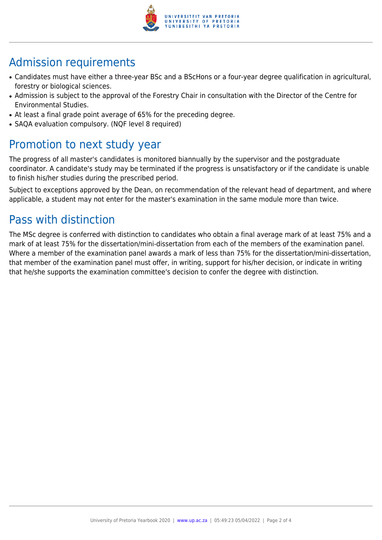

# Admission requirements

- Candidates must have either a three-year BSc and a BScHons or a four-year degree qualification in agricultural, forestry or biological sciences.
- Admission is subiect to the approval of the Forestry Chair in consultation with the Director of the Centre for Environmental Studies.
- At least a final grade point average of 65% for the preceding degree.
- SAQA evaluation compulsory. (NQF level 8 required)

## Promotion to next study year

The progress of all master's candidates is monitored biannually by the supervisor and the postgraduate coordinator. A candidate's study may be terminated if the progress is unsatisfactory or if the candidate is unable to finish his/her studies during the prescribed period.

Subject to exceptions approved by the Dean, on recommendation of the relevant head of department, and where applicable, a student may not enter for the master's examination in the same module more than twice.

# Pass with distinction

The MSc degree is conferred with distinction to candidates who obtain a final average mark of at least 75% and a mark of at least 75% for the dissertation/mini-dissertation from each of the members of the examination panel. Where a member of the examination panel awards a mark of less than 75% for the dissertation/mini-dissertation, that member of the examination panel must offer, in writing, support for his/her decision, or indicate in writing that he/she supports the examination committee's decision to confer the degree with distinction.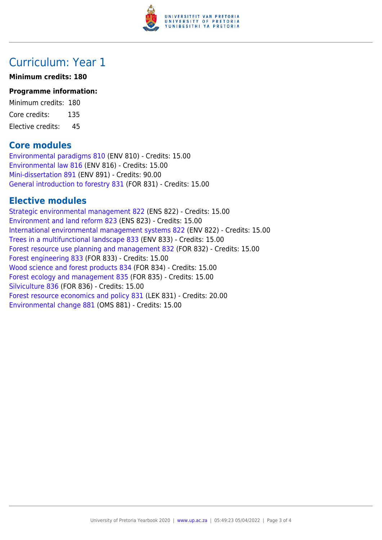

### Curriculum: Year 1

#### **Minimum credits: 180**

#### **Programme information:**

Minimum credits: 180 Core credits: 135 Elective credits: 45

### **Core modules**

[Environmental paradigms 810](https://www.up.ac.za/faculty-of-education/yearbooks/2020/modules/view/ENV 810) (ENV 810) - Credits: 15.00 [Environmental law 816](https://www.up.ac.za/faculty-of-education/yearbooks/2020/modules/view/ENV 816) (ENV 816) - Credits: 15.00 [Mini-dissertation 891](https://www.up.ac.za/faculty-of-education/yearbooks/2020/modules/view/ENV 891) (ENV 891) - Credits: 90.00 [General introduction to forestry 831](https://www.up.ac.za/faculty-of-education/yearbooks/2020/modules/view/FOR 831) (FOR 831) - Credits: 15.00

### **Elective modules**

[Strategic environmental management 822](https://www.up.ac.za/faculty-of-education/yearbooks/2020/modules/view/ENS 822) (ENS 822) - Credits: 15.00 [Environment and land reform 823](https://www.up.ac.za/faculty-of-education/yearbooks/2020/modules/view/ENS 823) (ENS 823) - Credits: 15.00 [International environmental management systems 822](https://www.up.ac.za/faculty-of-education/yearbooks/2020/modules/view/ENV 822) (ENV 822) - Credits: 15.00 [Trees in a multifunctional landscape 833](https://www.up.ac.za/faculty-of-education/yearbooks/2020/modules/view/ENV 833) (ENV 833) - Credits: 15.00 [Forest resource use planning and management 832](https://www.up.ac.za/faculty-of-education/yearbooks/2020/modules/view/FOR 832) (FOR 832) - Credits: 15.00 [Forest engineering 833](https://www.up.ac.za/faculty-of-education/yearbooks/2020/modules/view/FOR 833) (FOR 833) - Credits: 15.00 [Wood science and forest products 834](https://www.up.ac.za/faculty-of-education/yearbooks/2020/modules/view/FOR 834) (FOR 834) - Credits: 15.00 [Forest ecology and management 835](https://www.up.ac.za/faculty-of-education/yearbooks/2020/modules/view/FOR 835) (FOR 835) - Credits: 15.00 [Silviculture 836](https://www.up.ac.za/faculty-of-education/yearbooks/2020/modules/view/FOR 836) (FOR 836) - Credits: 15.00 [Forest resource economics and policy 831](https://www.up.ac.za/faculty-of-education/yearbooks/2020/modules/view/LEK 831) (LEK 831) - Credits: 20.00 [Environmental change 881](https://www.up.ac.za/faculty-of-education/yearbooks/2020/modules/view/OMS 881) (OMS 881) - Credits: 15.00